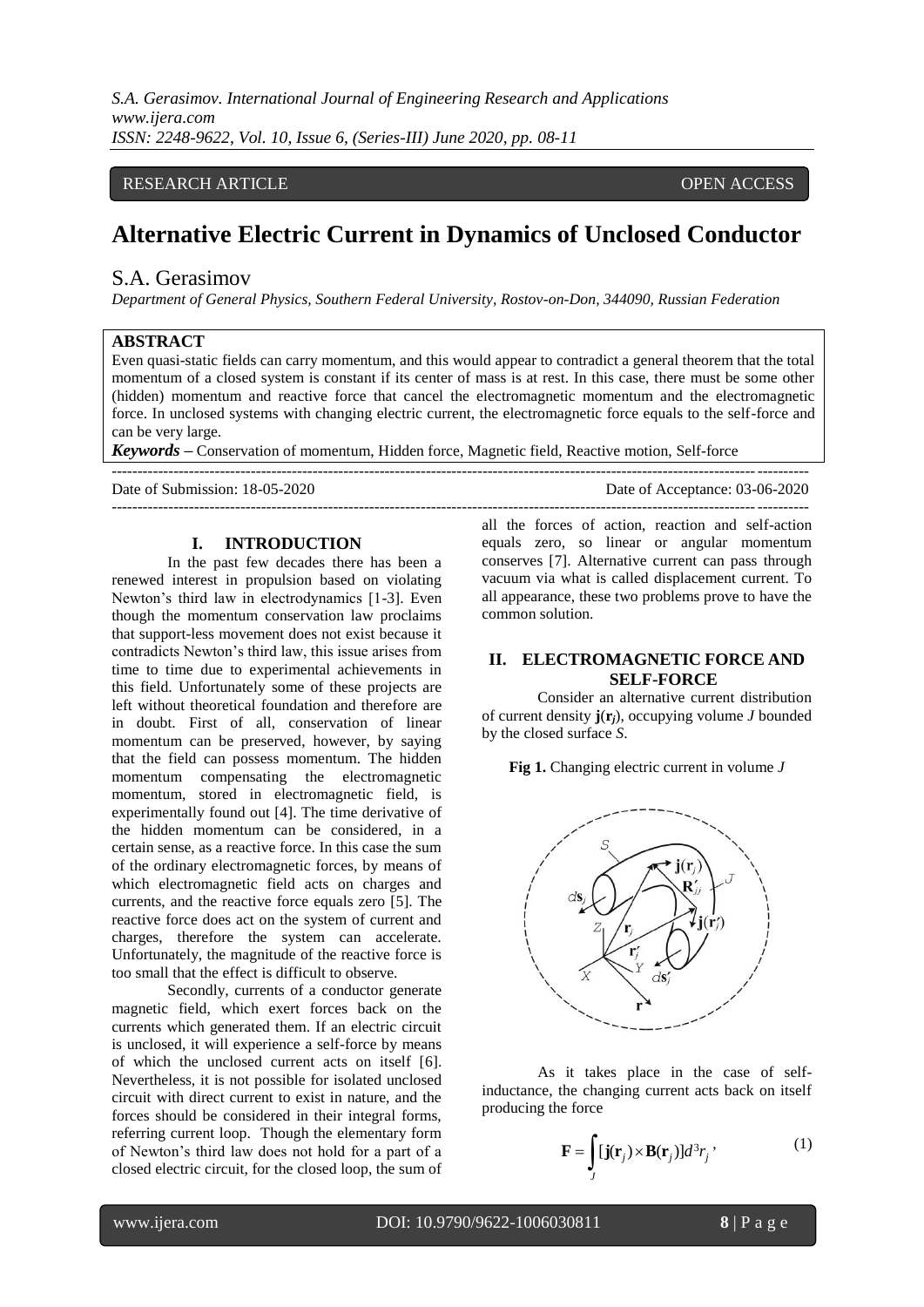*S.A. Gerasimov. International Journal of Engineering Research and Applications www.ijera.com ISSN: 2248-9622, Vol. 10, Issue 6, (Series-III) June 2020, pp. 08-11*

## RESEARCH ARTICLE **CONTRACT ARTICLE** AND A SERVICE OPEN ACCESS OPEN ACCESS

# **Alternative Electric Current in Dynamics of Unclosed Conductor**

## S.A. Gerasimov

*Department of General Physics, Southern Federal University, Rostov-on-Don, 344090, Russian Federation*

#### **ABSTRACT**

Even quasi-static fields can carry momentum, and this would appear to contradict a general theorem that the total momentum of a closed system is constant if its center of mass is at rest. In this case, there must be some other (hidden) momentum and reactive force that cancel the electromagnetic momentum and the electromagnetic force. In unclosed systems with changing electric current, the electromagnetic force equals to the self-force and can be very large.

*Keywords* **–** Conservation of momentum, Hidden force, Magnetic field, Reactive motion, Self-force

---------------------------------------------------------------------------------------------------------------------------------------

Date of Submission: 18-05-2020 Date of Acceptance: 03-06-2020

#### **I. INTRODUCTION**

In the past few decades there has been a renewed interest in propulsion based on violating Newton's third law in electrodynamics [1-3]. Even though the momentum conservation law proclaims that support-less movement does not exist because it contradicts Newton's third law, this issue arises from time to time due to experimental achievements in this field. Unfortunately some of these projects are left without theoretical foundation and therefore are in doubt. First of all, conservation of linear momentum can be preserved, however, by saying that the field can possess momentum. The hidden momentum compensating the electromagnetic momentum, stored in electromagnetic field, is experimentally found out [4]. The time derivative of the hidden momentum can be considered, in a certain sense, as a reactive force. In this case the sum of the ordinary electromagnetic forces, by means of which electromagnetic field acts on charges and currents, and the reactive force equals zero [5]. The reactive force does act on the system of current and charges, therefore the system can accelerate. Unfortunately, the magnitude of the reactive force is too small that the effect is difficult to observe.

Secondly, currents of a conductor generate magnetic field, which exert forces back on the currents which generated them. If an electric circuit is unclosed, it will experience a self-force by means of which the unclosed current acts on itself [6]. Nevertheless, it is not possible for isolated unclosed circuit with direct current to exist in nature, and the forces should be considered in their integral forms, referring current loop. Though the elementary form of Newton's third law does not hold for a part of a closed electric circuit, for the closed loop, the sum of

-------------------------------------------------------------------------------------------------------------------------------------- all the forces of action, reaction and self-action equals zero, so linear or angular momentum conserves [7]. Alternative current can pass through vacuum via what is called displacement current. To all appearance, these two problems prove to have the common solution.

## **II. ELECTROMAGNETIC FORCE AND SELF-FORCE**

Consider an alternative current distribution of current density **j**(**r***j*), occupying volume *J* bounded by the closed surface *S*.

**Fig 1.** Changing electric current in volume *J*



As it takes place in the case of selfinductance, the changing current acts back on itself producing the force

$$
\mathbf{F} = \int_{J} [\mathbf{j}(\mathbf{r}_j) \times \mathbf{B}(\mathbf{r}_j)] d^3 r_j \, , \tag{1}
$$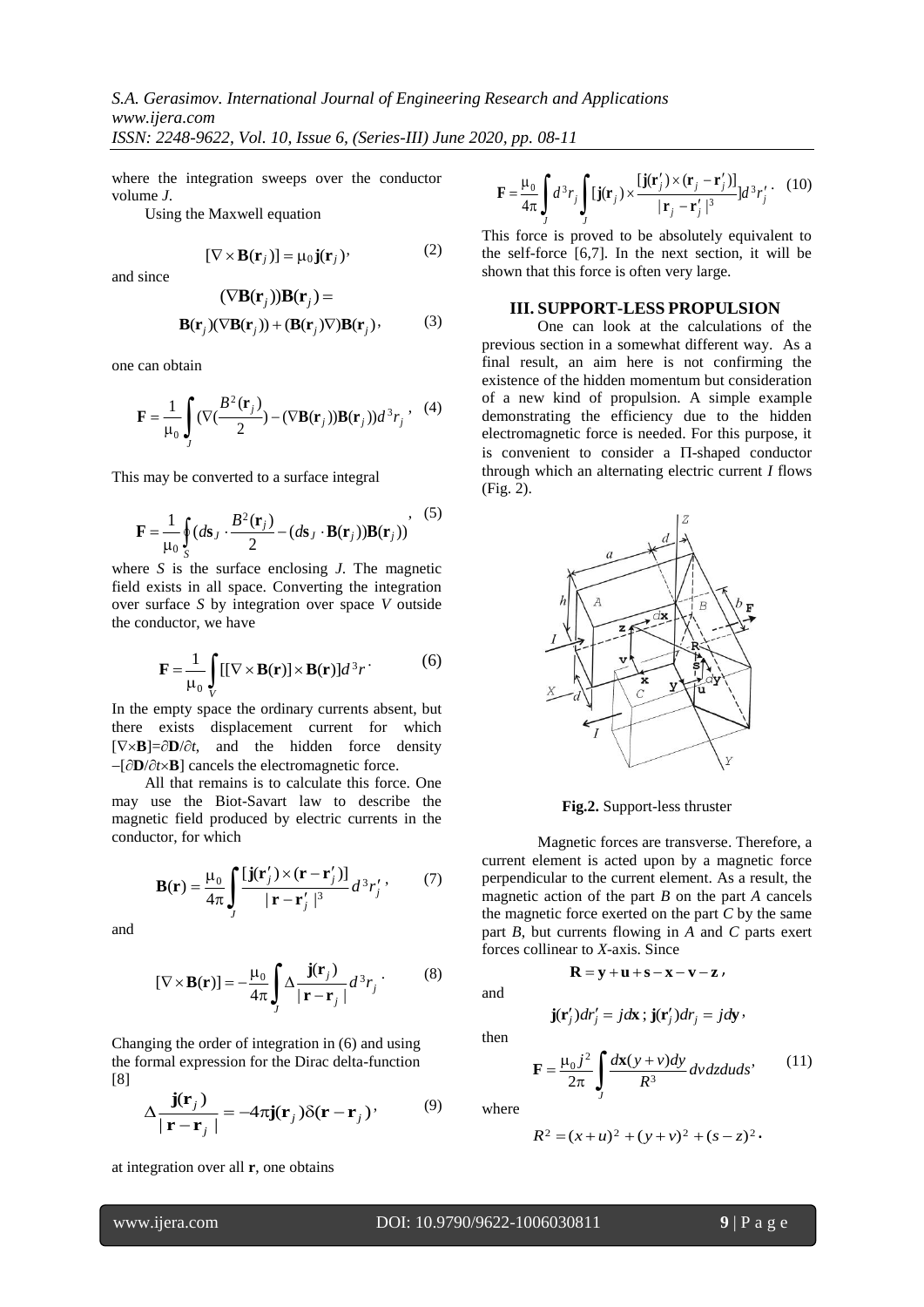where the integration sweeps over the conductor volume *J*.

Using the Maxwell equation

$$
[\nabla \times \mathbf{B}(\mathbf{r}_j)] = \mu_0 \mathbf{j}(\mathbf{r}_j), \tag{2}
$$

and since

$$
(\nabla \mathbf{B}(\mathbf{r}_j))\mathbf{B}(\mathbf{r}_j) =
$$
  

$$
\mathbf{B}(\mathbf{r}_j)(\nabla \mathbf{B}(\mathbf{r}_j)) + (\mathbf{B}(\mathbf{r}_j)\nabla)\mathbf{B}(\mathbf{r}_j),
$$
 (3)

one can obtain

$$
\mathbf{F} = \frac{1}{\mu_0} \int_J (\nabla (\frac{B^2(\mathbf{r}_j)}{2}) - (\nabla \mathbf{B}(\mathbf{r}_j)) \mathbf{B}(\mathbf{r}_j)) d^3 r_j , \quad (4)
$$

This may be converted to a surface integral

$$
\mathbf{F} = \frac{1}{\mu_0} \oint_S (d\mathbf{s}_J \cdot \frac{B^2(\mathbf{r}_j)}{2} - (d\mathbf{s}_J \cdot \mathbf{B}(\mathbf{r}_j)) \mathbf{B}(\mathbf{r}_j))
$$
 (5)

where *S* is the surface enclosing *J*. The magnetic field exists in all space. Converting the integration over surface *S* by integration over space *V* outside the conductor, we have

$$
\mathbf{F} = \frac{1}{\mu_0} \int_{V} [[\nabla \times \mathbf{B}(\mathbf{r})] \times \mathbf{B}(\mathbf{r})] d^3 r \tag{6}
$$

In the empty space the ordinary currents absent, but there exists displacement current for which  $[\nabla \times \mathbf{B}] = \partial \mathbf{D}/\partial t$ , and the hidden force density  $-[\partial \mathbf{D}/\partial t \times \mathbf{B}]$  cancels the electromagnetic force.

All that remains is to calculate this force. One may use the Biot-Savart law to describe the magnetic field produced by electric currents in the conductor, for which

$$
\mathbf{B}(\mathbf{r}) = \frac{\mu_0}{4\pi} \int_J \frac{[\mathbf{j}(\mathbf{r}'_j) \times (\mathbf{r} - \mathbf{r}'_j)]}{|\mathbf{r} - \mathbf{r}'_j|^3} d^3 r'_j, \qquad (7)
$$

and

$$
[\nabla \times \mathbf{B}(\mathbf{r})] = -\frac{\mu_0}{4\pi} \int_J \Delta \frac{\mathbf{j}(\mathbf{r}_j)}{|\mathbf{r} - \mathbf{r}_j|} d^3 r_j \,. \tag{8}
$$

Changing the order of integration in (6) and using the formal expression for the Dirac delta-function [8]

$$
\Delta \frac{\mathbf{j}(\mathbf{r}_j)}{|\mathbf{r} - \mathbf{r}_j|} = -4\pi \mathbf{j}(\mathbf{r}_j) \delta(\mathbf{r} - \mathbf{r}_j), \qquad (9)
$$

at integration over all **r**, one obtains

$$
\mathbf{F} = \frac{\mu_0}{4\pi} \int J d^3 r_j \int J \left[ \mathbf{j}(\mathbf{r}_j) \times \frac{[\mathbf{j}(\mathbf{r}_j') \times (\mathbf{r}_j - \mathbf{r}_j')] }{|\mathbf{r}_j - \mathbf{r}_j'|^3} \right] d^3 r_j' \qquad (10)
$$

This force is proved to be absolutely equivalent to the self-force [6,7]. In the next section, it will be shown that this force is often very large.

#### **III. SUPPORT-LESS PROPULSION**

One can look at the calculations of the previous section in a somewhat different way. As a final result, an aim here is not confirming the existence of the hidden momentum but consideration of a new kind of propulsion. A simple example demonstrating the efficiency due to the hidden electromagnetic force is needed. For this purpose, it is convenient to consider a  $\Pi$ -shaped conductor through which an alternating electric current *I* flows (Fig. 2).



**Fig.2.** Support-less thruster

Magnetic forces are transverse. Therefore, a current element is acted upon by a magnetic force perpendicular to the current element. As a result, the magnetic action of the part *B* on the part *A* cancels the magnetic force exerted on the part *C* by the same part *B*, but currents flowing in *A* and *C* parts exert forces collinear to *X*-axis. Since

and

then

$$
\mathbf{j}(\mathbf{r}'_j)dr'_j = jd\mathbf{x}; \mathbf{j}(\mathbf{r}'_j)dr_j = jd\mathbf{y},
$$

 $\mathbf{R} = \mathbf{v} + \mathbf{u} + \mathbf{s} - \mathbf{x} - \mathbf{v} - \mathbf{z}$ 

$$
\mathbf{F} = \frac{\mu_0 j^2}{2\pi} \int_{J} \frac{d\mathbf{x}(y + v) dy}{R^3} \, dv \, dz \, du \, ds' \tag{11}
$$

where

$$
R^2 = (x+u)^2 + (y+v)^2 + (s-z)^2
$$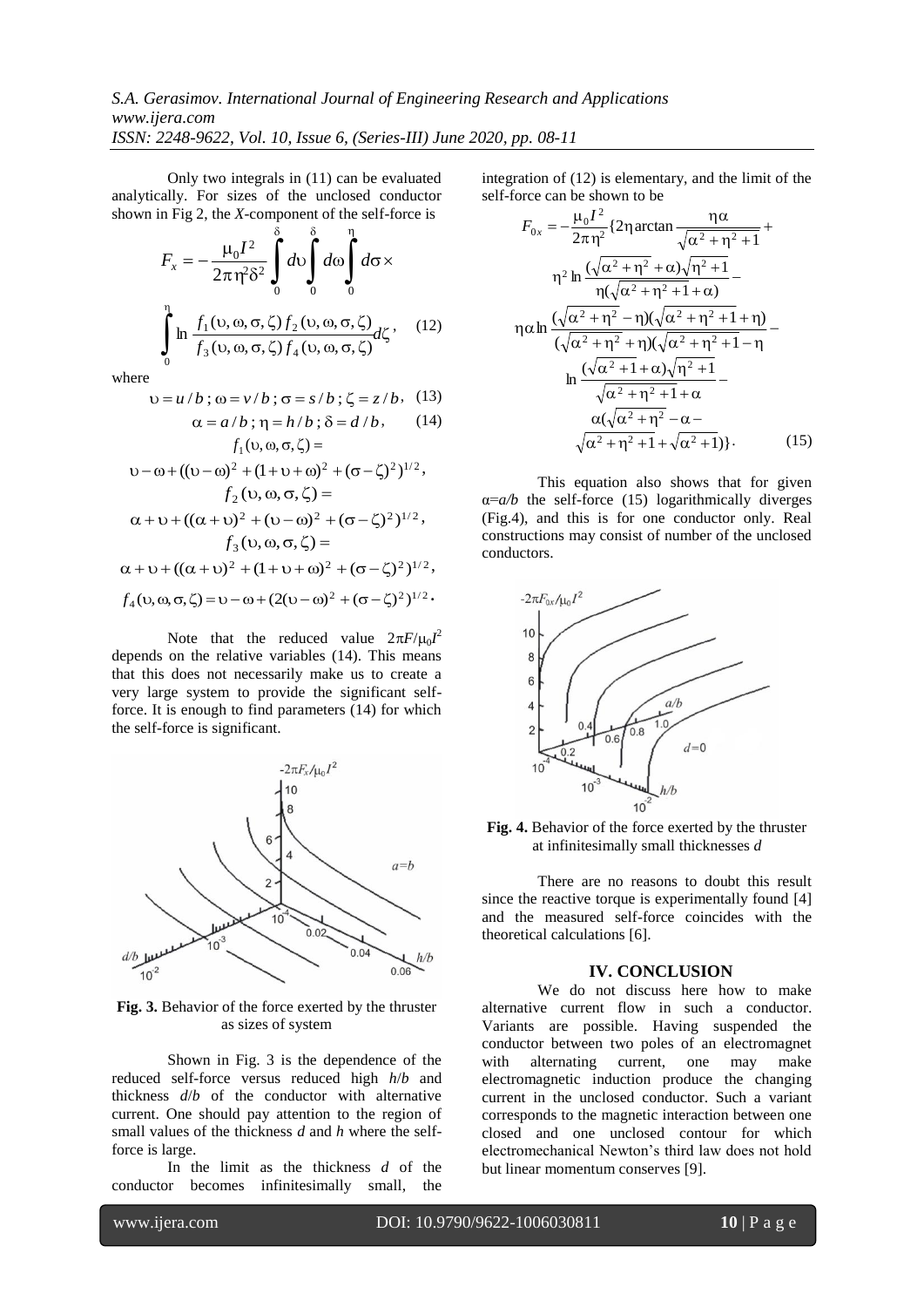# *S.A. Gerasimov. International Journal of Engineering Research and Applications www.ijera.com ISSN: 2248-9622, Vol. 10, Issue 6, (Series-III) June 2020, pp. 08-11*

Only two integrals in (11) can be evaluated analytically. For sizes of the unclosed conductor shown in Fig 2, the *X*-component of the self-force is

$$
F_x = -\frac{\mu_0 I^2}{2\pi \eta^2 \delta^2} \int_0^{\delta} d\upsilon \int_0^{\eta} d\sigma \times
$$

$$
\int_0^{\eta} \ln \frac{f_1(\upsilon, \omega, \sigma, \zeta) f_2(\upsilon, \omega, \sigma, \zeta)}{f_3(\upsilon, \omega, \sigma, \zeta) f_4(\upsilon, \omega, \sigma, \zeta)} d\zeta, \quad (12)
$$

where

$$
υ = u/b; ω = v/b; σ = s/b; ζ = z/b. (13)
$$
  
α = a/b : n = h/b : δ = d/b. (14)

$$
\alpha = a/b, \quad (1 - h/b, \quad 0 - a/b)
$$
\n
$$
f_1(v, \alpha, \sigma, \zeta) =
$$
\n
$$
v - \omega + ((v - \omega)^2 + (1 + v + \omega)^2 + (\sigma - \zeta)^2)^{1/2},
$$
\n
$$
f_2(v, \alpha, \sigma, \zeta) =
$$
\n
$$
\alpha + v + ((\alpha + v)^2 + (v - \omega)^2 + (\sigma - \zeta)^2)^{1/2},
$$
\n
$$
f_3(v, \alpha, \sigma, \zeta) =
$$
\n
$$
\alpha + v + ((\alpha + v)^2 + (1 + v + \omega)^2 + (\sigma - \zeta)^2)^{1/2},
$$
\n
$$
f_4(v, \alpha, \sigma, \zeta) = v - \omega + (2(v - \omega)^2 + (\sigma - \zeta)^2)^{1/2}.
$$

Note that the reduced value  $2\pi F/\mu_0 I^2$ depends on the relative variables (14). This means that this does not necessarily make us to create a very large system to provide the significant selfforce. It is enough to find parameters (14) for which the self-force is significant.



**Fig. 3.** Behavior of the force exerted by the thruster as sizes of system

Shown in Fig. 3 is the dependence of the reduced self-force versus reduced high *h*/*b* and thickness *d*/*b* of the conductor with alternative current. One should pay attention to the region of small values of the thickness *d* and *h* where the selfforce is large.

In the limit as the thickness *d* of the conductor becomes infinitesimally small, the integration of (12) is elementary, and the limit of the self-force can be shown to be

$$
F_{0x} = -\frac{\mu_0 I^2}{2\pi \eta^2} \left\{ 2\eta \arctan \frac{\eta \alpha}{\sqrt{\alpha^2 + \eta^2 + 1}} + \frac{\eta^2 \ln \left( \sqrt{\alpha^2 + \eta^2 + \alpha} \right) \sqrt{\eta^2 + 1}}{\eta (\sqrt{\alpha^2 + \eta^2 + 1} + \alpha)} - \frac{\eta \left( \sqrt{\alpha^2 + \eta^2 + 1} + \alpha \right)}{\eta (\sqrt{\alpha^2 + \eta^2 + \eta}) (\sqrt{\alpha^2 + \eta^2 + 1} + \eta)} - \frac{\eta \left( \sqrt{\alpha^2 + \eta^2 + \eta} \right) \sqrt{\eta^2 + 1}}{\sqrt{\alpha^2 + \eta^2 + 1} + \alpha} - \frac{\alpha (\sqrt{\alpha^2 + \eta^2 + 1} + \alpha^2)}{\sqrt{\alpha^2 + \eta^2 + 1} + \sqrt{\alpha^2 + 1}} \right\}
$$
\n(15)

This equation also shows that for given  $\alpha = a/b$  the self-force (15) logarithmically diverges (Fig.4), and this is for one conductor only. Real constructions may consist of number of the unclosed conductors.



**Fig. 4.** Behavior of the force exerted by the thruster at infinitesimally small thicknesses *d*

There are no reasons to doubt this result since the reactive torque is experimentally found [4] and the measured self-force coincides with the theoretical calculations [6].

#### **IV. CONCLUSION**

We do not discuss here how to make alternative current flow in such a conductor. Variants are possible. Having suspended the conductor between two poles of an electromagnet with alternating current, one may make electromagnetic induction produce the changing current in the unclosed conductor. Such a variant corresponds to the magnetic interaction between one closed and one unclosed contour for which electromechanical Newton's third law does not hold but linear momentum conserves [9].